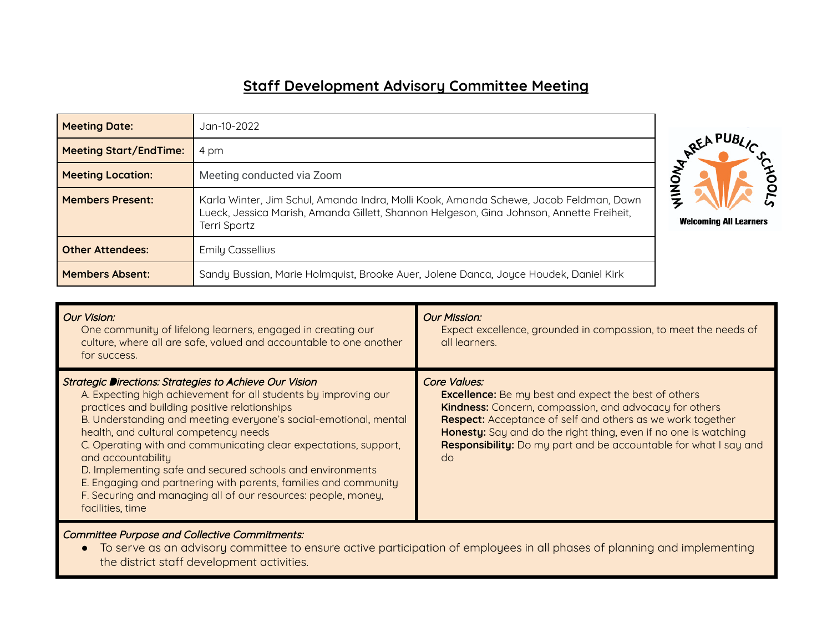## **Staff Development Advisory Committee Meeting**

| <b>Meeting Date:</b>          | Jan-10-2022                                                                                                                                                                                              |                               |
|-------------------------------|----------------------------------------------------------------------------------------------------------------------------------------------------------------------------------------------------------|-------------------------------|
| <b>Meeting Start/EndTime:</b> | 4 pm                                                                                                                                                                                                     |                               |
| <b>Meeting Location:</b>      | Meeting conducted via Zoom                                                                                                                                                                               |                               |
| <b>Members Present:</b>       | Karla Winter, Jim Schul, Amanda Indra, Molli Kook, Amanda Schewe, Jacob Feldman, Dawn<br>Lueck, Jessica Marish, Amanda Gillett, Shannon Helgeson, Gina Johnson, Annette Freiheit,<br><b>Terri Spartz</b> | <b>Welcoming All Learners</b> |
| <b>Other Attendees:</b>       | <b>Emily Cassellius</b>                                                                                                                                                                                  |                               |
| <b>Members Absent:</b>        | Sandy Bussian, Marie Holmquist, Brooke Auer, Jolene Danca, Joyce Houdek, Daniel Kirk                                                                                                                     |                               |

| Our Vision:<br>One community of lifelong learners, engaged in creating our<br>culture, where all are safe, valued and accountable to one another<br>for success.                                                                                                                                                                                                                                                                                                                                                                                                                                       | <b>Our Mission:</b><br>Expect excellence, grounded in compassion, to meet the needs of<br>all learners.                                                                                                                                                                                                                                                               |
|--------------------------------------------------------------------------------------------------------------------------------------------------------------------------------------------------------------------------------------------------------------------------------------------------------------------------------------------------------------------------------------------------------------------------------------------------------------------------------------------------------------------------------------------------------------------------------------------------------|-----------------------------------------------------------------------------------------------------------------------------------------------------------------------------------------------------------------------------------------------------------------------------------------------------------------------------------------------------------------------|
| Strategic Directions: Strategies to Achieve Our Vision<br>A. Expecting high achievement for all students by improving our<br>practices and building positive relationships<br>B. Understanding and meeting everyone's social-emotional, mental<br>health, and cultural competency needs<br>C. Operating with and communicating clear expectations, support,<br>and accountability<br>D. Implementing safe and secured schools and environments<br>E. Engaging and partnering with parents, families and community<br>F. Securing and managing all of our resources: people, money,<br>facilities, time | Core Values:<br><b>Excellence:</b> Be my best and expect the best of others<br><b>Kindness:</b> Concern, compassion, and advocacy for others<br><b>Respect:</b> Acceptance of self and others as we work together<br>Honesty: Say and do the right thing, even if no one is watching<br><b>Responsibility:</b> Do my part and be accountable for what I say and<br>do |

Committee Purpose and Collective Commitments:

● To serve as an advisory committee to ensure active participation of employees in all phases of planning and implementing the district staff development activities.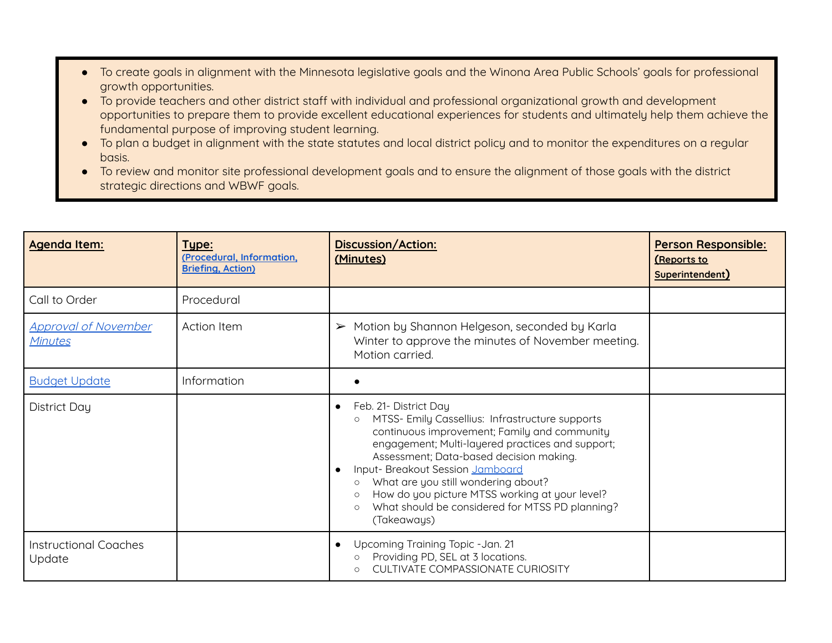- To create goals in alignment with the Minnesota legislative goals and the Winona Area Public Schools' goals for professional growth opportunities.
- To provide teachers and other district staff with individual and professional organizational growth and development opportunities to prepare them to provide excellent educational experiences for students and ultimately help them achieve the fundamental purpose of improving student learning.
- To plan a budget in alignment with the state statutes and local district policy and to monitor the expenditures on a regular basis.
- To review and monitor site professional development goals and to ensure the alignment of those goals with the district strategic directions and WBWF goals.

| <b>Agenda Item:</b>                           | Type:<br>(Procedural, Information,<br><b>Briefing, Action)</b> | <b>Discussion/Action:</b><br>(Minutes)                                                                                                                                                                                                                                                                                                                                                                                                                                          | <b>Person Responsible:</b><br><u>(Reports to</u><br>Superintendent) |
|-----------------------------------------------|----------------------------------------------------------------|---------------------------------------------------------------------------------------------------------------------------------------------------------------------------------------------------------------------------------------------------------------------------------------------------------------------------------------------------------------------------------------------------------------------------------------------------------------------------------|---------------------------------------------------------------------|
| Call to Order                                 | Procedural                                                     |                                                                                                                                                                                                                                                                                                                                                                                                                                                                                 |                                                                     |
| <b>Approval of November</b><br><b>Minutes</b> | <b>Action Item</b>                                             | Motion by Shannon Helgeson, seconded by Karla<br>➤<br>Winter to approve the minutes of November meeting.<br>Motion carried.                                                                                                                                                                                                                                                                                                                                                     |                                                                     |
| <b>Budget Update</b>                          | Information                                                    |                                                                                                                                                                                                                                                                                                                                                                                                                                                                                 |                                                                     |
| District Day                                  |                                                                | Feb. 21- District Day<br>$\bullet$<br>MTSS- Emily Cassellius: Infrastructure supports<br>$\circ$<br>continuous improvement; Family and community<br>engagement; Multi-layered practices and support;<br>Assessment; Data-based decision making.<br>Input- Breakout Session Jamboard<br>What are you still wondering about?<br>$\circ$<br>How do you picture MTSS working at your level?<br>$\circ$<br>What should be considered for MTSS PD planning?<br>$\circ$<br>(Takeaways) |                                                                     |
| <b>Instructional Coaches</b><br>Update        |                                                                | Upcoming Training Topic - Jan. 21<br>$\bullet$<br>Providing PD, SEL at 3 locations.<br>$\circ$<br><b>CULTIVATE COMPASSIONATE CURIOSITY</b>                                                                                                                                                                                                                                                                                                                                      |                                                                     |